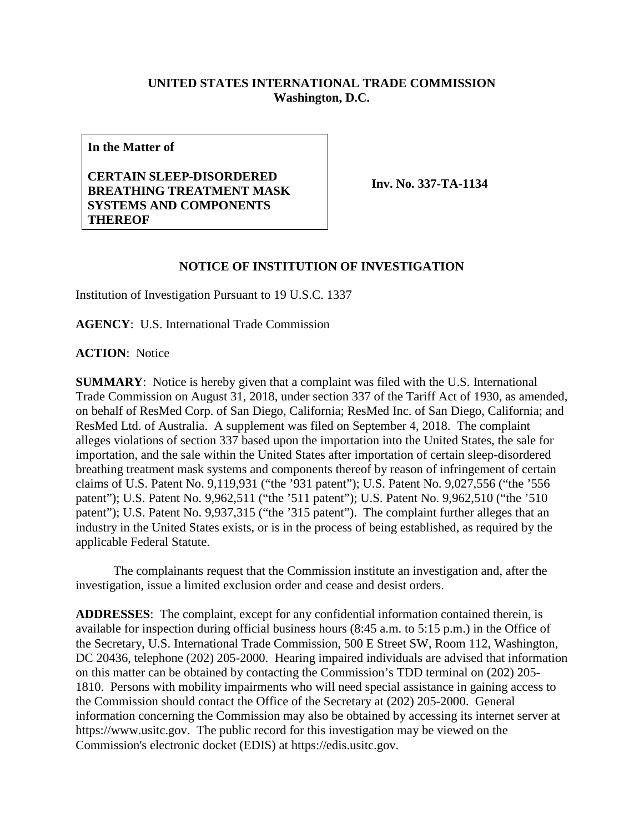## **UNITED STATES INTERNATIONAL TRADE COMMISSION Washington, D.C.**

**In the Matter of**

## **CERTAIN SLEEP-DISORDERED BREATHING TREATMENT MASK SYSTEMS AND COMPONENTS THEREOF**

**Inv. No. 337-TA-1134**

## **NOTICE OF INSTITUTION OF INVESTIGATION**

Institution of Investigation Pursuant to 19 U.S.C. 1337

**AGENCY**: U.S. International Trade Commission

**ACTION**: Notice

**SUMMARY**: Notice is hereby given that a complaint was filed with the U.S. International Trade Commission on August 31, 2018, under section 337 of the Tariff Act of 1930, as amended, on behalf of ResMed Corp. of San Diego, California; ResMed Inc. of San Diego, California; and ResMed Ltd. of Australia. A supplement was filed on September 4, 2018. The complaint alleges violations of section 337 based upon the importation into the United States, the sale for importation, and the sale within the United States after importation of certain sleep-disordered breathing treatment mask systems and components thereof by reason of infringement of certain claims of U.S. Patent No. 9,119,931 ("the '931 patent"); U.S. Patent No. 9,027,556 ("the '556 patent"); U.S. Patent No. 9,962,511 ("the '511 patent"); U.S. Patent No. 9,962,510 ("the '510 patent"); U.S. Patent No. 9,937,315 ("the '315 patent"). The complaint further alleges that an industry in the United States exists, or is in the process of being established, as required by the applicable Federal Statute.

The complainants request that the Commission institute an investigation and, after the investigation, issue a limited exclusion order and cease and desist orders.

**ADDRESSES**: The complaint, except for any confidential information contained therein, is available for inspection during official business hours (8:45 a.m. to 5:15 p.m.) in the Office of the Secretary, U.S. International Trade Commission, 500 E Street SW, Room 112, Washington, DC 20436, telephone (202) 205-2000. Hearing impaired individuals are advised that information on this matter can be obtained by contacting the Commission's TDD terminal on (202) 205- 1810. Persons with mobility impairments who will need special assistance in gaining access to the Commission should contact the Office of the Secretary at (202) 205-2000. General information concerning the Commission may also be obtained by accessing its internet server at https://www.usitc.gov. The public record for this investigation may be viewed on the Commission's electronic docket (EDIS) at https://edis.usitc.gov.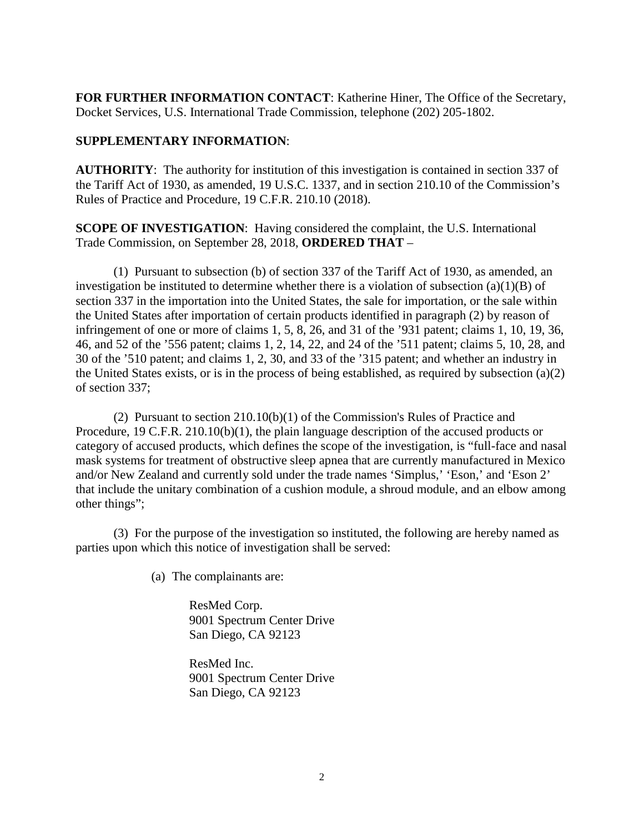**FOR FURTHER INFORMATION CONTACT**: Katherine Hiner, The Office of the Secretary, Docket Services, U.S. International Trade Commission, telephone (202) 205-1802.

## **SUPPLEMENTARY INFORMATION**:

**AUTHORITY**: The authority for institution of this investigation is contained in section 337 of the Tariff Act of 1930, as amended, 19 U.S.C. 1337, and in section 210.10 of the Commission's Rules of Practice and Procedure, 19 C.F.R. 210.10 (2018).

**SCOPE OF INVESTIGATION**: Having considered the complaint, the U.S. International Trade Commission, on September 28, 2018, **ORDERED THAT** –

(1) Pursuant to subsection (b) of section 337 of the Tariff Act of 1930, as amended, an investigation be instituted to determine whether there is a violation of subsection  $(a)(1)(B)$  of section 337 in the importation into the United States, the sale for importation, or the sale within the United States after importation of certain products identified in paragraph (2) by reason of infringement of one or more of claims 1, 5, 8, 26, and 31 of the '931 patent; claims 1, 10, 19, 36, 46, and 52 of the '556 patent; claims 1, 2, 14, 22, and 24 of the '511 patent; claims 5, 10, 28, and 30 of the '510 patent; and claims 1, 2, 30, and 33 of the '315 patent; and whether an industry in the United States exists, or is in the process of being established, as required by subsection (a)(2) of section 337;

(2) Pursuant to section 210.10(b)(1) of the Commission's Rules of Practice and Procedure, 19 C.F.R. 210.10(b)(1), the plain language description of the accused products or category of accused products, which defines the scope of the investigation, is "full-face and nasal mask systems for treatment of obstructive sleep apnea that are currently manufactured in Mexico and/or New Zealand and currently sold under the trade names 'Simplus,' 'Eson,' and 'Eson 2' that include the unitary combination of a cushion module, a shroud module, and an elbow among other things";

(3) For the purpose of the investigation so instituted, the following are hereby named as parties upon which this notice of investigation shall be served:

(a) The complainants are:

ResMed Corp. 9001 Spectrum Center Drive San Diego, CA 92123

ResMed Inc. 9001 Spectrum Center Drive San Diego, CA 92123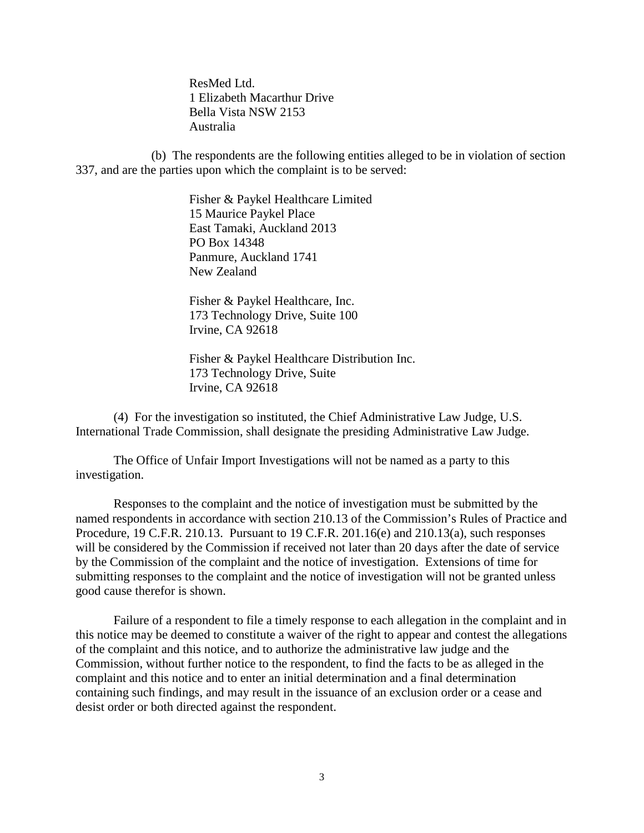ResMed Ltd. 1 Elizabeth Macarthur Drive Bella Vista NSW 2153 Australia

(b) The respondents are the following entities alleged to be in violation of section 337, and are the parties upon which the complaint is to be served:

> Fisher & Paykel Healthcare Limited 15 Maurice Paykel Place East Tamaki, Auckland 2013 PO Box 14348 Panmure, Auckland 1741 New Zealand

Fisher & Paykel Healthcare, Inc. 173 Technology Drive, Suite 100 Irvine, CA 92618

Fisher & Paykel Healthcare Distribution Inc. 173 Technology Drive, Suite Irvine, CA 92618

(4) For the investigation so instituted, the Chief Administrative Law Judge, U.S. International Trade Commission, shall designate the presiding Administrative Law Judge.

The Office of Unfair Import Investigations will not be named as a party to this investigation.

Responses to the complaint and the notice of investigation must be submitted by the named respondents in accordance with section 210.13 of the Commission's Rules of Practice and Procedure, 19 C.F.R. 210.13. Pursuant to 19 C.F.R. 201.16(e) and 210.13(a), such responses will be considered by the Commission if received not later than 20 days after the date of service by the Commission of the complaint and the notice of investigation. Extensions of time for submitting responses to the complaint and the notice of investigation will not be granted unless good cause therefor is shown.

Failure of a respondent to file a timely response to each allegation in the complaint and in this notice may be deemed to constitute a waiver of the right to appear and contest the allegations of the complaint and this notice, and to authorize the administrative law judge and the Commission, without further notice to the respondent, to find the facts to be as alleged in the complaint and this notice and to enter an initial determination and a final determination containing such findings, and may result in the issuance of an exclusion order or a cease and desist order or both directed against the respondent.